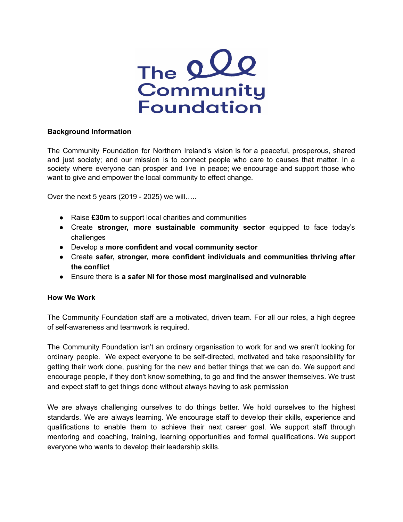

## **Background Information**

The Community Foundation for Northern Ireland's vision is for a peaceful, prosperous, shared and just society; and our mission is to connect people who care to causes that matter. In a society where everyone can prosper and live in peace; we encourage and support those who want to give and empower the local community to effect change.

Over the next 5 years (2019 - 2025) we will…..

- Raise **£30m** to support local charities and communities
- Create **stronger, more sustainable community sector** equipped to face today's challenges
- Develop a **more confident and vocal community sector**
- Create **safer, stronger, more confident individuals and communities thriving after the conflict**
- Ensure there is **a safer NI for those most marginalised and vulnerable**

## **How We Work**

The Community Foundation staff are a motivated, driven team. For all our roles, a high degree of self-awareness and teamwork is required.

The Community Foundation isn't an ordinary organisation to work for and we aren't looking for ordinary people. We expect everyone to be self-directed, motivated and take responsibility for getting their work done, pushing for the new and better things that we can do. We support and encourage people, if they don't know something, to go and find the answer themselves. We trust and expect staff to get things done without always having to ask permission

We are always challenging ourselves to do things better. We hold ourselves to the highest standards. We are always learning. We encourage staff to develop their skills, experience and qualifications to enable them to achieve their next career goal. We support staff through mentoring and coaching, training, learning opportunities and formal qualifications. We support everyone who wants to develop their leadership skills.